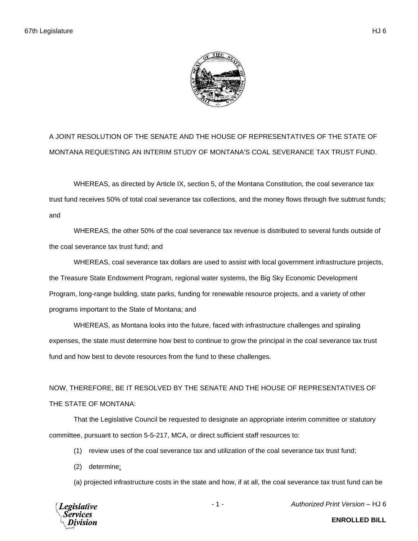

A JOINT RESOLUTION OF THE SENATE AND THE HOUSE OF REPRESENTATIVES OF THE STATE OF MONTANA REQUESTING AN INTERIM STUDY OF MONTANA'S COAL SEVERANCE TAX TRUST FUND.

WHEREAS, as directed by Article IX, section 5, of the Montana Constitution, the coal severance tax trust fund receives 50% of total coal severance tax collections, and the money flows through five subtrust funds; and

WHEREAS, the other 50% of the coal severance tax revenue is distributed to several funds outside of the coal severance tax trust fund; and

WHEREAS, coal severance tax dollars are used to assist with local government infrastructure projects, the Treasure State Endowment Program, regional water systems, the Big Sky Economic Development Program, long-range building, state parks, funding for renewable resource projects, and a variety of other programs important to the State of Montana; and

WHEREAS, as Montana looks into the future, faced with infrastructure challenges and spiraling expenses, the state must determine how best to continue to grow the principal in the coal severance tax trust fund and how best to devote resources from the fund to these challenges.

NOW, THEREFORE, BE IT RESOLVED BY THE SENATE AND THE HOUSE OF REPRESENTATIVES OF THE STATE OF MONTANA:

That the Legislative Council be requested to designate an appropriate interim committee or statutory committee, pursuant to section 5-5-217, MCA, or direct sufficient staff resources to:

- (1) review uses of the coal severance tax and utilization of the coal severance tax trust fund;
- (2) determine:

(a) projected infrastructure costs in the state and how, if at all, the coal severance tax trust fund can be



- 1 - *Authorized Print Version* – HJ 6

**ENROLLED BILL**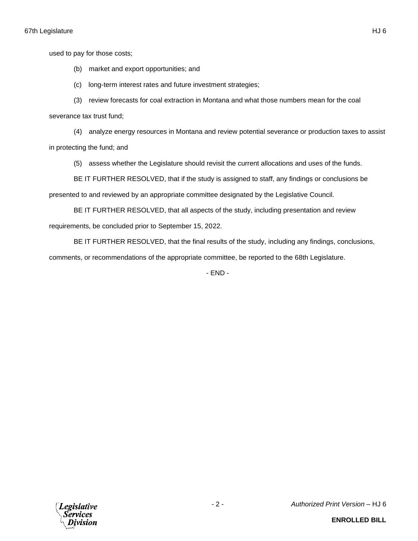used to pay for those costs;

(b) market and export opportunities; and

(c) long-term interest rates and future investment strategies;

(3) review forecasts for coal extraction in Montana and what those numbers mean for the coal severance tax trust fund;

(4) analyze energy resources in Montana and review potential severance or production taxes to assist in protecting the fund; and

(5) assess whether the Legislature should revisit the current allocations and uses of the funds.

BE IT FURTHER RESOLVED, that if the study is assigned to staff, any findings or conclusions be

presented to and reviewed by an appropriate committee designated by the Legislative Council.

BE IT FURTHER RESOLVED, that all aspects of the study, including presentation and review requirements, be concluded prior to September 15, 2022.

BE IT FURTHER RESOLVED, that the final results of the study, including any findings, conclusions, comments, or recommendations of the appropriate committee, be reported to the 68th Legislature.

- END -

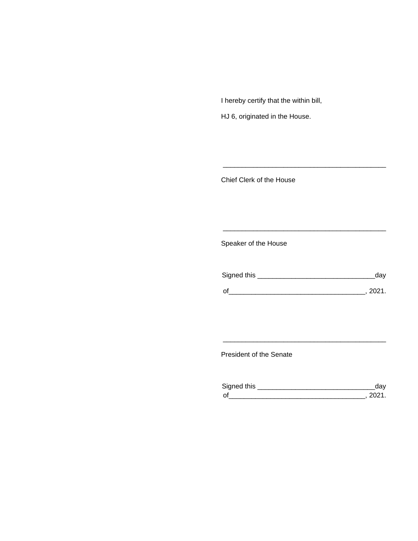I hereby certify that the within bill,

HJ 6, originated in the House.

Chief Clerk of the House

Speaker of the House

| Signed this | dav    |
|-------------|--------|
| $\Omega$    | - 2021 |

\_\_\_\_\_\_\_\_\_\_\_\_\_\_\_\_\_\_\_\_\_\_\_\_\_\_\_\_\_\_\_\_\_\_\_\_\_\_\_\_\_\_\_

\_\_\_\_\_\_\_\_\_\_\_\_\_\_\_\_\_\_\_\_\_\_\_\_\_\_\_\_\_\_\_\_\_\_\_\_\_\_\_\_\_\_\_

President of the Senate

| Sianed this |  |
|-------------|--|
| $\Omega$    |  |

\_\_\_\_\_\_\_\_\_\_\_\_\_\_\_\_\_\_\_\_\_\_\_\_\_\_\_\_\_\_\_\_\_\_\_\_\_\_\_\_\_\_\_